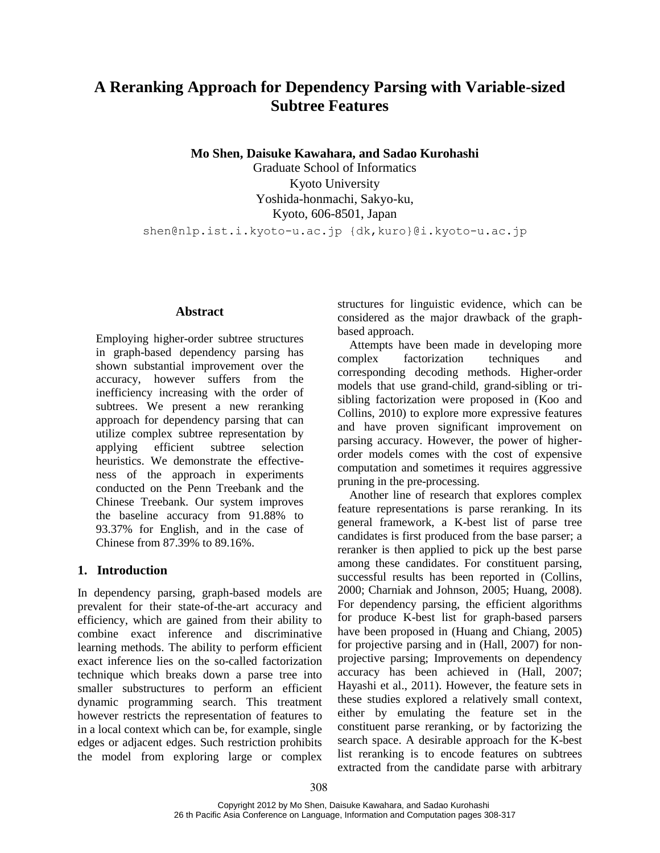# **A Reranking Approach for Dependency Parsing with Variable-sized Subtree Features**

**Mo Shen, Daisuke Kawahara, and Sadao Kurohashi**

Graduate School of Informatics Kyoto University Yoshida-honmachi, Sakyo-ku, Kyoto, 606-8501, Japan shen@nlp.ist.i.kyoto-u.ac.jp {dk,kuro}@i.kyoto-u.ac.jp

### **Abstract**

Employing higher-order subtree structures in graph-based dependency parsing has shown substantial improvement over the accuracy, however suffers from the inefficiency increasing with the order of subtrees. We present a new reranking approach for dependency parsing that can utilize complex subtree representation by applying efficient subtree selection heuristics. We demonstrate the effectiveness of the approach in experiments conducted on the Penn Treebank and the Chinese Treebank. Our system improves the baseline accuracy from 91.88% to 93.37% for English, and in the case of Chinese from 87.39% to 89.16%.

### **1. Introduction**

In dependency parsing, graph-based models are prevalent for their state-of-the-art accuracy and efficiency, which are gained from their ability to combine exact inference and discriminative learning methods. The ability to perform efficient exact inference lies on the so-called factorization technique which breaks down a parse tree into smaller substructures to perform an efficient dynamic programming search. This treatment however restricts the representation of features to in a local context which can be, for example, single edges or adjacent edges. Such restriction prohibits the model from exploring large or complex structures for linguistic evidence, which can be considered as the major drawback of the graphbased approach.

Attempts have been made in developing more complex factorization techniques and corresponding decoding methods. Higher-order models that use grand-child, grand-sibling or trisibling factorization were proposed in (Koo and Collins, 2010) to explore more expressive features and have proven significant improvement on parsing accuracy. However, the power of higherorder models comes with the cost of expensive computation and sometimes it requires aggressive pruning in the pre-processing.

Another line of research that explores complex feature representations is parse reranking. In its general framework, a K-best list of parse tree candidates is first produced from the base parser; a reranker is then applied to pick up the best parse among these candidates. For constituent parsing, successful results has been reported in (Collins, 2000; Charniak and Johnson, 2005; Huang, 2008). For dependency parsing, the efficient algorithms for produce K-best list for graph-based parsers have been proposed in (Huang and Chiang, 2005) for projective parsing and in (Hall, 2007) for nonprojective parsing; Improvements on dependency accuracy has been achieved in (Hall, 2007; Hayashi et al., 2011). However, the feature sets in these studies explored a relatively small context, either by emulating the feature set in the constituent parse reranking, or by factorizing the search space. A desirable approach for the K-best list reranking is to encode features on subtrees extracted from the candidate parse with arbitrary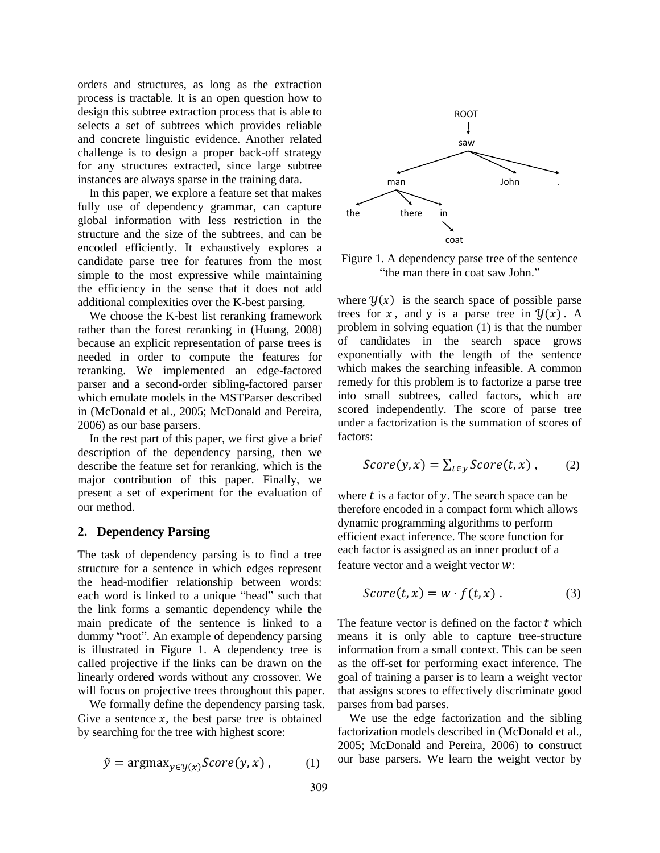orders and structures, as long as the extraction process is tractable. It is an open question how to design this subtree extraction process that is able to selects a set of subtrees which provides reliable and concrete linguistic evidence. Another related challenge is to design a proper back-off strategy for any structures extracted, since large subtree instances are always sparse in the training data.

In this paper, we explore a feature set that makes fully use of dependency grammar, can capture global information with less restriction in the structure and the size of the subtrees, and can be encoded efficiently. It exhaustively explores a candidate parse tree for features from the most simple to the most expressive while maintaining the efficiency in the sense that it does not add additional complexities over the K-best parsing.

We choose the K-best list reranking framework rather than the forest reranking in (Huang, 2008) because an explicit representation of parse trees is needed in order to compute the features for reranking. We implemented an edge-factored parser and a second-order sibling-factored parser which emulate models in the MSTParser described in (McDonald et al., 2005; McDonald and Pereira, 2006) as our base parsers.

In the rest part of this paper, we first give a brief description of the dependency parsing, then we describe the feature set for reranking, which is the major contribution of this paper. Finally, we present a set of experiment for the evaluation of our method.

### **2. Dependency Parsing**

The task of dependency parsing is to find a tree structure for a sentence in which edges represent the head-modifier relationship between words: each word is linked to a unique "head" such that the link forms a semantic dependency while the main predicate of the sentence is linked to a dummy "root". An example of dependency parsing is illustrated in Figure 1. A dependency tree is called projective if the links can be drawn on the linearly ordered words without any crossover. We will focus on projective trees throughout this paper.

We formally define the dependency parsing task. Give a sentence  $x$ , the best parse tree is obtained by searching for the tree with highest score:

$$
\tilde{y} = \operatorname{argmax}_{y \in \mathcal{Y}(x)} Score(y, x), \quad (1)
$$



Figure 1. A dependency parse tree of the sentence "the man there in coat saw John."

where  $\mathcal{Y}(x)$  is the search space of possible parse trees for x, and y is a parse tree in  $\mathcal{Y}(x)$ . A problem in solving equation (1) is that the number of candidates in the search space grows exponentially with the length of the sentence which makes the searching infeasible. A common remedy for this problem is to factorize a parse tree into small subtrees, called factors, which are scored independently. The score of parse tree under a factorization is the summation of scores of factors:

$$
Score(y, x) = \sum_{t \in y} Score(t, x), \qquad (2)
$$

where  $t$  is a factor of  $y$ . The search space can be therefore encoded in a compact form which allows dynamic programming algorithms to perform efficient exact inference. The score function for each factor is assigned as an inner product of a feature vector and a weight vector  $w$ :

$$
Score(t, x) = w \cdot f(t, x) . \tag{3}
$$

The feature vector is defined on the factor  $t$  which means it is only able to capture tree-structure information from a small context. This can be seen as the off-set for performing exact inference. The goal of training a parser is to learn a weight vector that assigns scores to effectively discriminate good parses from bad parses.

We use the edge factorization and the sibling factorization models described in (McDonald et al., 2005; McDonald and Pereira, 2006) to construct our base parsers. We learn the weight vector by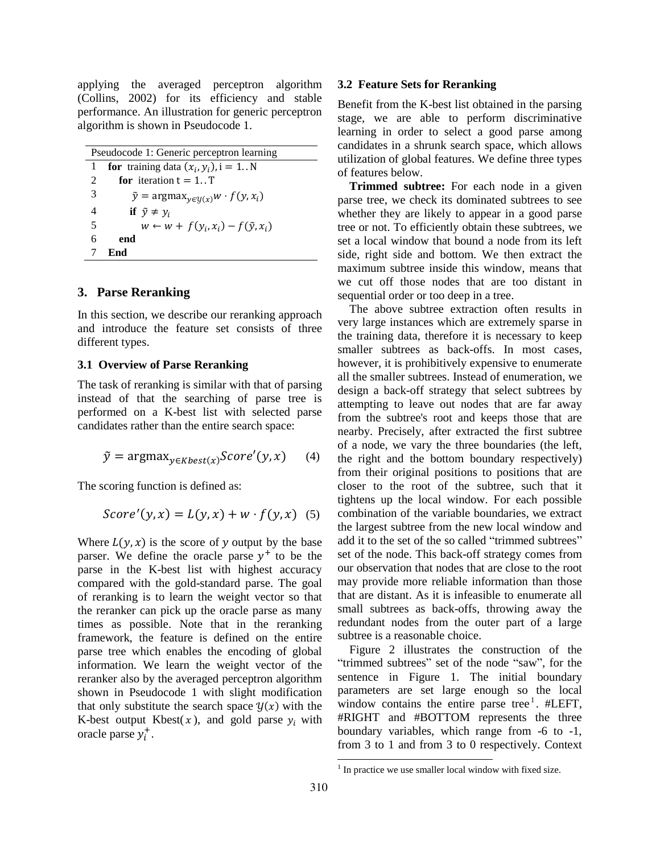applying the averaged perceptron algorithm (Collins, 2002) for its efficiency and stable performance. An illustration for generic perceptron algorithm is shown in Pseudocode 1.

Pseudocode 1: Generic perceptron learning **for** training data  $(x_i, y_i)$ , **for** iteration  $t = 1..T$  $\tilde{y} = \argmax_{y \in \mathcal{U}(x)} w \cdot f(y, x_i)$ **if**  $\tilde{y} \neq y_i$  $w \leftarrow w + f(y_i, x_i) - f(\tilde{y}, x_i)$ 6 **end** 7 **End**

### **3. Parse Reranking**

In this section, we describe our reranking approach and introduce the feature set consists of three different types.

#### **3.1 Overview of Parse Reranking**

The task of reranking is similar with that of parsing instead of that the searching of parse tree is performed on a K-best list with selected parse candidates rather than the entire search space:

$$
\tilde{y} = \operatorname{argmax}_{y \in Kbest(x)} Score'(y, x) \tag{4}
$$

The scoring function is defined as:

$$
Score'(y, x) = L(y, x) + w \cdot f(y, x) \quad (5)
$$

Where  $L(y, x)$  is the score of y output by the base parser. We define the oracle parse  $y^+$  to be the parse in the K-best list with highest accuracy compared with the gold-standard parse. The goal of reranking is to learn the weight vector so that the reranker can pick up the oracle parse as many times as possible. Note that in the reranking framework, the feature is defined on the entire parse tree which enables the encoding of global information. We learn the weight vector of the reranker also by the averaged perceptron algorithm shown in Pseudocode 1 with slight modification that only substitute the search space  $\mathcal{Y}(x)$  with the K-best output Kbest( $x$ ), and gold parse  $y_i$  with oracle parse  $y_i^+$ .

#### **3.2 Feature Sets for Reranking**

Benefit from the K-best list obtained in the parsing stage, we are able to perform discriminative learning in order to select a good parse among candidates in a shrunk search space, which allows utilization of global features. We define three types of features below.

**Trimmed subtree:** For each node in a given parse tree, we check its dominated subtrees to see whether they are likely to appear in a good parse tree or not. To efficiently obtain these subtrees, we set a local window that bound a node from its left side, right side and bottom. We then extract the maximum subtree inside this window, means that we cut off those nodes that are too distant in sequential order or too deep in a tree.

The above subtree extraction often results in very large instances which are extremely sparse in the training data, therefore it is necessary to keep smaller subtrees as back-offs. In most cases, however, it is prohibitively expensive to enumerate all the smaller subtrees. Instead of enumeration, we design a back-off strategy that select subtrees by attempting to leave out nodes that are far away from the subtree's root and keeps those that are nearby. Precisely, after extracted the first subtree of a node, we vary the three boundaries (the left, the right and the bottom boundary respectively) from their original positions to positions that are closer to the root of the subtree, such that it tightens up the local window. For each possible combination of the variable boundaries, we extract the largest subtree from the new local window and add it to the set of the so called "trimmed subtrees" set of the node. This back-off strategy comes from our observation that nodes that are close to the root may provide more reliable information than those that are distant. As it is infeasible to enumerate all small subtrees as back-offs, throwing away the redundant nodes from the outer part of a large subtree is a reasonable choice.

Figure 2 illustrates the construction of the "trimmed subtrees" set of the node "saw", for the sentence in Figure 1. The initial boundary parameters are set large enough so the local window contains the entire parse tree<sup>1</sup>. #LEFT, #RIGHT and #BOTTOM represents the three boundary variables, which range from -6 to -1, from 3 to 1 and from 3 to 0 respectively. Context

l

 $1$  In practice we use smaller local window with fixed size.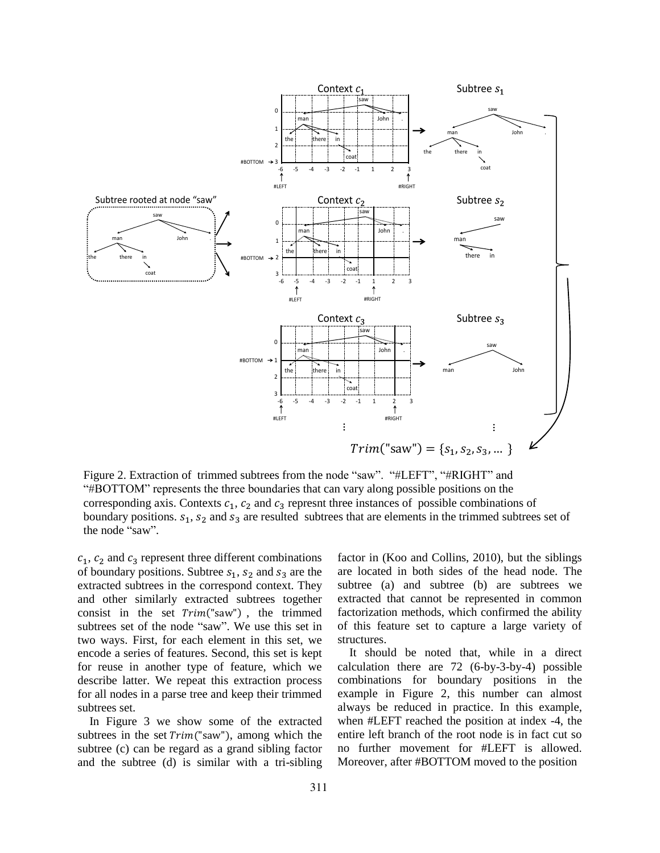

Figure 2. Extraction of trimmed subtrees from the node "saw". "#LEFT", "#RIGHT" and "#BOTTOM" represents the three boundaries that can vary along possible positions on the corresponding axis. Contexts  $c_1$ ,  $c_2$  and  $c_3$  represnt three instances of possible combinations of boundary positions.  $s_1$ ,  $s_2$  and  $s_3$  are resulted subtrees that are elements in the trimmed subtrees set of the node "saw".

 $c_1$ ,  $c_2$  and  $c_3$  represent three different combinations of boundary positions. Subtree  $s_1$ ,  $s_2$  and  $s_3$  are the extracted subtrees in the correspond context. They and other similarly extracted subtrees together consist in the set  $Trim("saw")$ , the trimmed subtrees set of the node "saw". We use this set in two ways. First, for each element in this set, we encode a series of features. Second, this set is kept for reuse in another type of feature, which we describe latter. We repeat this extraction process for all nodes in a parse tree and keep their trimmed subtrees set.

In Figure 3 we show some of the extracted subtrees in the set  $Trim("saw")$ , among which the subtree (c) can be regard as a grand sibling factor and the subtree (d) is similar with a tri-sibling factor in (Koo and Collins, 2010), but the siblings are located in both sides of the head node. The subtree (a) and subtree (b) are subtrees we extracted that cannot be represented in common factorization methods, which confirmed the ability of this feature set to capture a large variety of structures.

It should be noted that, while in a direct calculation there are 72 (6-by-3-by-4) possible combinations for boundary positions in the example in Figure 2, this number can almost always be reduced in practice. In this example, when #LEFT reached the position at index -4, the entire left branch of the root node is in fact cut so no further movement for #LEFT is allowed. Moreover, after #BOTTOM moved to the position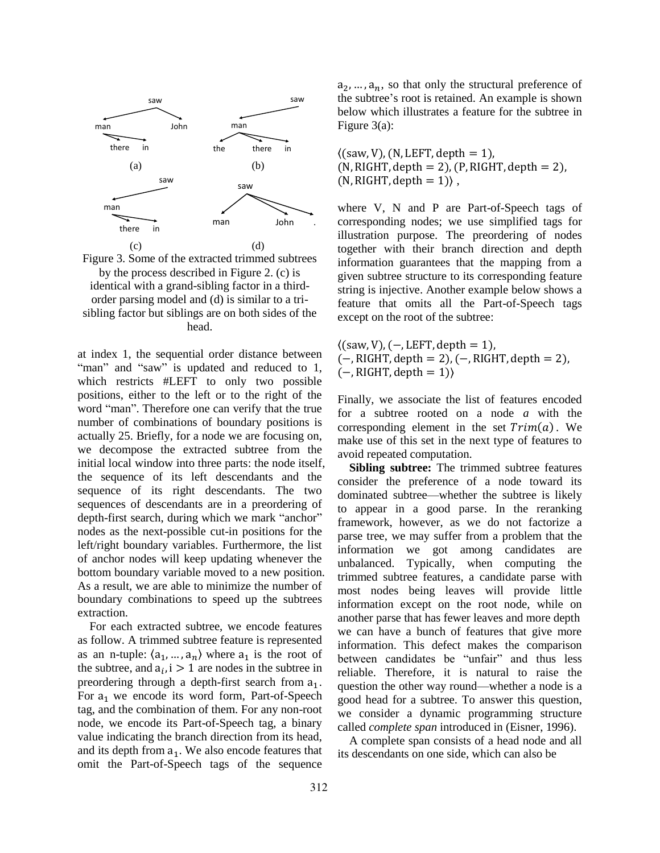

Figure 3. Some of the extracted trimmed subtrees by the process described in Figure 2. (c) is identical with a grand-sibling factor in a thirdorder parsing model and (d) is similar to a trisibling factor but siblings are on both sides of the head.

at index 1, the sequential order distance between "man" and "saw" is updated and reduced to 1, which restricts #LEFT to only two possible positions, either to the left or to the right of the word "man". Therefore one can verify that the true number of combinations of boundary positions is actually 25. Briefly, for a node we are focusing on, we decompose the extracted subtree from the initial local window into three parts: the node itself, the sequence of its left descendants and the sequence of its right descendants. The two sequences of descendants are in a preordering of depth-first search, during which we mark "anchor" nodes as the next-possible cut-in positions for the left/right boundary variables. Furthermore, the list of anchor nodes will keep updating whenever the bottom boundary variable moved to a new position. As a result, we are able to minimize the number of boundary combinations to speed up the subtrees extraction.

For each extracted subtree, we encode features as follow. A trimmed subtree feature is represented as an n-tuple:  $\langle a_1, ..., a_n \rangle$  where  $a_1$  is the root of the subtree, and  $a_i$ , i > 1 are nodes in the subtree in preordering through a depth-first search from  $a_1$ . For  $a_1$  we encode its word form, Part-of-Speech tag, and the combination of them. For any non-root node, we encode its Part-of-Speech tag, a binary value indicating the branch direction from its head, and its depth from  $a_1$ . We also encode features that omit the Part-of-Speech tags of the sequence

 $a_2, ..., a_n$ , so that only the structural preference of the subtree's root is retained. An example is shown below which illustrates a feature for the subtree in Figure 3(a):

 $\langle$ (saw, V), (N, LEFT, depth = 1),  $(N, RIGHT, depth = 2)$ ,  $(P, RIGHT, depth = 2)$ ,  $(N, RIGHT, depth = 1)$ ,

where V, N and P are Part-of-Speech tags of corresponding nodes; we use simplified tags for illustration purpose. The preordering of nodes together with their branch direction and depth information guarantees that the mapping from a given subtree structure to its corresponding feature string is injective. Another example below shows a feature that omits all the Part-of-Speech tags except on the root of the subtree:

 $\langle$ (saw, V), (-, LEFT, depth = 1),  $(-, RIGHT, depth = 2), (-, RIGHT, depth = 2),$  $(-, \text{RIGHT}, \text{depth} = 1)$ 

Finally, we associate the list of features encoded for a subtree rooted on a node *a* with the corresponding element in the set  $Trim(a)$ . We make use of this set in the next type of features to avoid repeated computation.

**Sibling subtree:** The trimmed subtree features consider the preference of a node toward its dominated subtree—whether the subtree is likely to appear in a good parse. In the reranking framework, however, as we do not factorize a parse tree, we may suffer from a problem that the information we got among candidates are unbalanced. Typically, when computing the trimmed subtree features, a candidate parse with most nodes being leaves will provide little information except on the root node, while on another parse that has fewer leaves and more depth we can have a bunch of features that give more information. This defect makes the comparison between candidates be "unfair" and thus less reliable. Therefore, it is natural to raise the question the other way round—whether a node is a good head for a subtree. To answer this question, we consider a dynamic programming structure called *complete span* introduced in (Eisner, 1996).

A complete span consists of a head node and all its descendants on one side, which can also be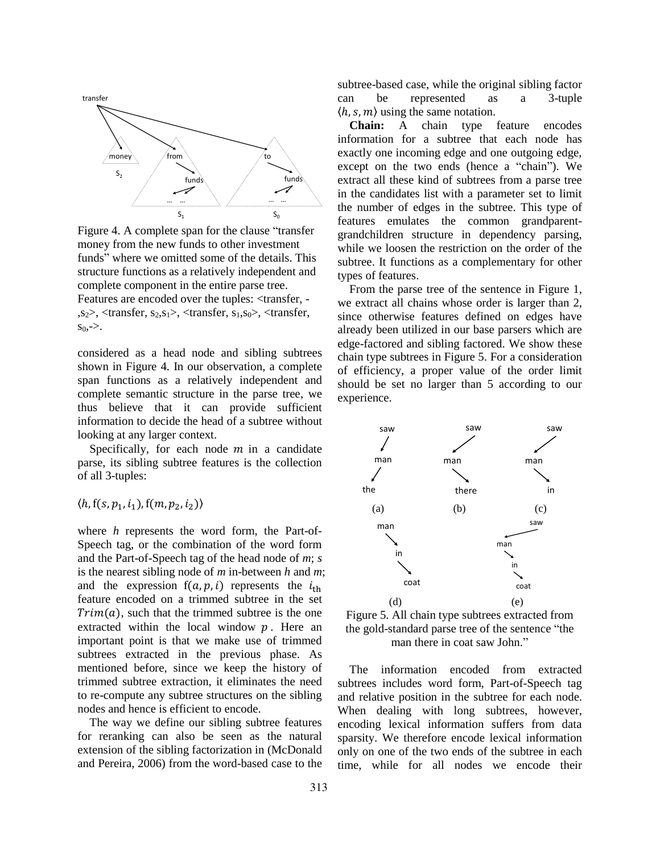

Figure 4. A complete span for the clause "transfer money from the new funds to other investment funds" where we omitted some of the details. This structure functions as a relatively independent and complete component in the entire parse tree. Features are encoded over the tuples: <transfer,  $s<sub>2</sub>$ ,  $\lt$ transfer,  $s<sub>2</sub>, s<sub>1</sub>$ ,  $\lt$ transfer,  $s<sub>1</sub>, s<sub>0</sub>$ ,  $\lt$ transfer,  $s_0, \geq.$ 

considered as a head node and sibling subtrees shown in Figure 4. In our observation, a complete span functions as a relatively independent and complete semantic structure in the parse tree, we thus believe that it can provide sufficient information to decide the head of a subtree without looking at any larger context.

Specifically, for each node  $m$  in a candidate parse, its sibling subtree features is the collection of all 3-tuples:

# $\langle h, f(s, p_1, i_1), f(m, p_2, i_2) \rangle$

where *h* represents the word form, the Part-of-Speech tag, or the combination of the word form and the Part-of-Speech tag of the head node of *m*; *s* is the nearest sibling node of *m* in-between *h* and *m*; and the expression  $f(a, p, i)$  represents the  $i_{th}$ feature encoded on a trimmed subtree in the set  $Trim(a)$ , such that the trimmed subtree is the one extracted within the local window  $p$ . Here an important point is that we make use of trimmed subtrees extracted in the previous phase. As mentioned before, since we keep the history of trimmed subtree extraction, it eliminates the need to re-compute any subtree structures on the sibling nodes and hence is efficient to encode.

The way we define our sibling subtree features for reranking can also be seen as the natural extension of the sibling factorization in (McDonald and Pereira, 2006) from the word-based case to the subtree-based case, while the original sibling factor can be represented as a 3-tuple  $\langle h, s, m \rangle$  using the same notation.

**Chain:** A chain type feature encodes information for a subtree that each node has exactly one incoming edge and one outgoing edge, except on the two ends (hence a "chain"). We extract all these kind of subtrees from a parse tree in the candidates list with a parameter set to limit the number of edges in the subtree. This type of features emulates the common grandparentgrandchildren structure in dependency parsing, while we loosen the restriction on the order of the subtree. It functions as a complementary for other types of features.

From the parse tree of the sentence in Figure 1, we extract all chains whose order is larger than 2, since otherwise features defined on edges have already been utilized in our base parsers which are edge-factored and sibling factored. We show these chain type subtrees in Figure 5. For a consideration of efficiency, a proper value of the order limit should be set no larger than 5 according to our experience.



Figure 5. All chain type subtrees extracted from the gold-standard parse tree of the sentence "the man there in coat saw John."

The information encoded from extracted subtrees includes word form, Part-of-Speech tag and relative position in the subtree for each node. When dealing with long subtrees, however, encoding lexical information suffers from data sparsity. We therefore encode lexical information only on one of the two ends of the subtree in each time, while for all nodes we encode their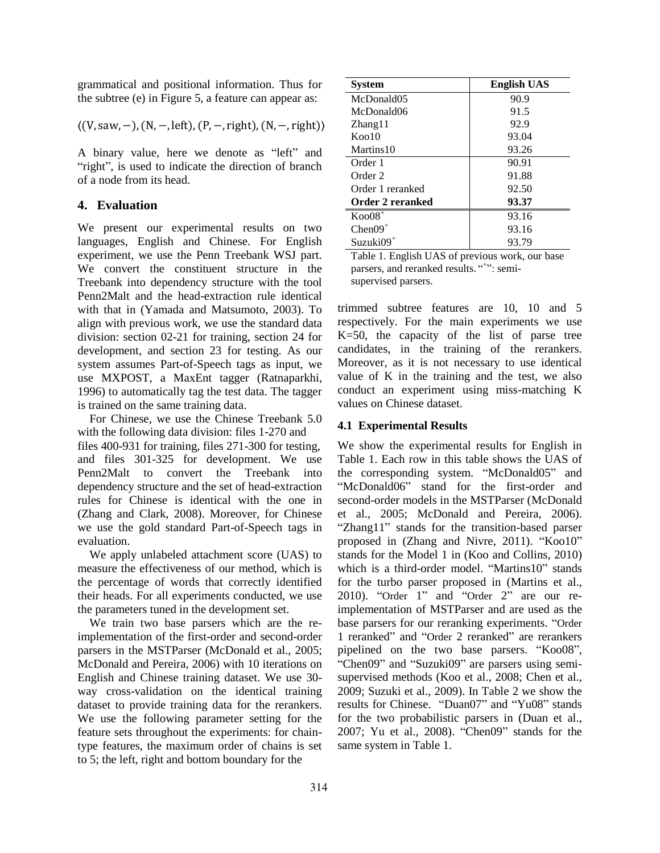grammatical and positional information. Thus for the subtree (e) in Figure 5, a feature can appear as:

$$
\langle (V, saw, -), (N, -, left), (P, -, right), (N, -, right) \rangle
$$

A binary value, here we denote as "left" and "right", is used to indicate the direction of branch of a node from its head.

### **4. Evaluation**

We present our experimental results on two languages, English and Chinese. For English experiment, we use the Penn Treebank WSJ part. We convert the constituent structure in the Treebank into dependency structure with the tool Penn2Malt and the head-extraction rule identical with that in (Yamada and Matsumoto, 2003). To align with previous work, we use the standard data division: section 02-21 for training, section 24 for development, and section 23 for testing. As our system assumes Part-of-Speech tags as input, we use MXPOST, a MaxEnt tagger (Ratnaparkhi, 1996) to automatically tag the test data. The tagger is trained on the same training data.

For Chinese, we use the Chinese Treebank 5.0 with the following data division: files 1-270 and files 400-931 for training, files 271-300 for testing, and files 301-325 for development. We use Penn2Malt to convert the Treebank into dependency structure and the set of head-extraction rules for Chinese is identical with the one in (Zhang and Clark, 2008). Moreover, for Chinese we use the gold standard Part-of-Speech tags in evaluation.

We apply unlabeled attachment score (UAS) to measure the effectiveness of our method, which is the percentage of words that correctly identified their heads. For all experiments conducted, we use the parameters tuned in the development set.

We train two base parsers which are the reimplementation of the first-order and second-order parsers in the MSTParser (McDonald et al., 2005; McDonald and Pereira, 2006) with 10 iterations on English and Chinese training dataset. We use 30 way cross-validation on the identical training dataset to provide training data for the rerankers. We use the following parameter setting for the feature sets throughout the experiments: for chaintype features, the maximum order of chains is set to 5; the left, right and bottom boundary for the

| <b>System</b>            | <b>English UAS</b> |
|--------------------------|--------------------|
| McDonald05               | 90.9               |
| McDonald06               | 91.5               |
| Zhang11                  | 92.9               |
| $K$ oo 10                | 93.04              |
| Martins 10               | 93.26              |
| Order 1                  | 90.91              |
| Order 2                  | 91.88              |
| Order 1 reranked         | 92.50              |
| Order 2 reranked         | 93.37              |
| $K$ oo $08$ <sup>+</sup> | 93.16              |
| $Chen09+$                | 93.16              |
| $Suzuki09^+$             | 93.79              |

Table 1. English UAS of previous work, our base parsers, and reranked results. "+": semisupervised parsers.

trimmed subtree features are 10, 10 and 5 respectively. For the main experiments we use K=50, the capacity of the list of parse tree candidates, in the training of the rerankers. Moreover, as it is not necessary to use identical value of K in the training and the test, we also conduct an experiment using miss-matching K values on Chinese dataset.

### **4.1 Experimental Results**

We show the experimental results for English in Table 1. Each row in this table shows the UAS of the corresponding system. "McDonald05" and "McDonald06" stand for the first-order and second-order models in the MSTParser (McDonald et al., 2005; McDonald and Pereira, 2006). "Zhang11" stands for the transition-based parser proposed in (Zhang and Nivre, 2011). "Koo10" stands for the Model 1 in (Koo and Collins, 2010) which is a third-order model. "Martins10" stands for the turbo parser proposed in (Martins et al., 2010). "Order 1" and "Order 2" are our reimplementation of MSTParser and are used as the base parsers for our reranking experiments. "Order 1 reranked" and "Order 2 reranked" are rerankers pipelined on the two base parsers. "Koo08", "Chen09" and "Suzuki09" are parsers using semisupervised methods (Koo et al., 2008; Chen et al., 2009; Suzuki et al., 2009). In Table 2 we show the results for Chinese. "Duan07" and "Yu08" stands for the two probabilistic parsers in (Duan et al., 2007; Yu et al., 2008). "Chen09" stands for the same system in Table 1.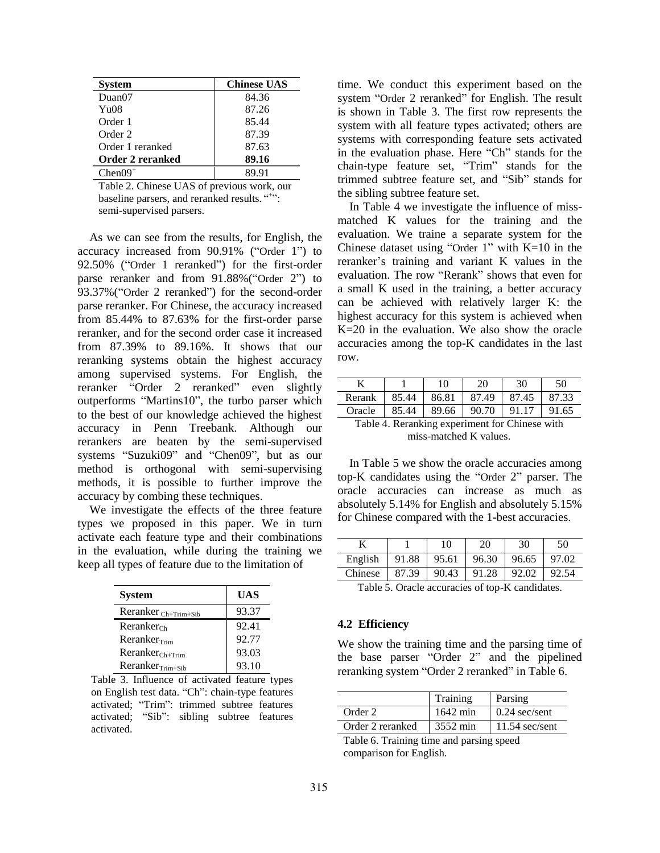| <b>System</b>           | <b>Chinese UAS</b> |
|-------------------------|--------------------|
| Duan07                  | 84.36              |
| Yu08                    | 87.26              |
| Order 1                 | 85.44              |
| Order 2                 | 87.39              |
| Order 1 reranked        | 87.63              |
| <b>Order 2 reranked</b> | 89.16              |
| $Chen09^+$              |                    |

Table 2. Chinese UAS of previous work, our baseline parsers, and reranked results. "<sup>+++++</sup>": semi-supervised parsers.

As we can see from the results, for English, the accuracy increased from 90.91% ("Order 1") to 92.50% ("Order 1 reranked") for the first-order parse reranker and from 91.88%("Order 2") to 93.37%("Order 2 reranked") for the second-order parse reranker. For Chinese, the accuracy increased from 85.44% to 87.63% for the first-order parse reranker, and for the second order case it increased from 87.39% to 89.16%. It shows that our reranking systems obtain the highest accuracy among supervised systems. For English, the reranker "Order 2 reranked" even slightly outperforms "Martins10", the turbo parser which to the best of our knowledge achieved the highest accuracy in Penn Treebank. Although our rerankers are beaten by the semi-supervised systems "Suzuki09" and "Chen09", but as our method is orthogonal with semi-supervising methods, it is possible to further improve the accuracy by combing these techniques.

We investigate the effects of the three feature types we proposed in this paper. We in turn activate each feature type and their combinations in the evaluation, while during the training we keep all types of feature due to the limitation of

| <b>System</b>             | <b>UAS</b> |
|---------------------------|------------|
| Reranker $_{Ch+Trim+Sib}$ | 93.37      |
| $R$ eranker $_{Ch}$       | 92.41      |
| Reranker <sub>Tim</sub>   | 92.77      |
| $RerankerCh+Trim$         | 93.03      |
| $RerankerTim+Sib$         | 93.10      |

Table 3. Influence of activated feature types on English test data. "Ch": chain-type features activated; "Trim": trimmed subtree features activated; "Sib": sibling subtree features activated.

time. We conduct this experiment based on the system "Order 2 reranked" for English. The result is shown in Table 3. The first row represents the system with all feature types activated; others are systems with corresponding feature sets activated in the evaluation phase. Here "Ch" stands for the chain-type feature set, "Trim" stands for the trimmed subtree feature set, and "Sib" stands for the sibling subtree feature set.

In Table 4 we investigate the influence of missmatched K values for the training and the evaluation. We traine a separate system for the Chinese dataset using "Order 1" with  $K=10$  in the reranker's training and variant K values in the evaluation. The row "Rerank" shows that even for a small K used in the training, a better accuracy can be achieved with relatively larger K: the highest accuracy for this system is achieved when K=20 in the evaluation. We also show the oracle accuracies among the top-K candidates in the last row.

| K                                              |       | 10    | 20    | 30    | 50    |
|------------------------------------------------|-------|-------|-------|-------|-------|
| Rerank                                         | 85.44 | 86.81 | 87.49 | 87.45 | 87.33 |
| Oracle                                         | 85.44 | 89.66 | 90.70 | 91.17 | 91.65 |
| Table 4. Reranking experiment for Chinese with |       |       |       |       |       |
| miss-matched K values.                         |       |       |       |       |       |

In Table 5 we show the oracle accuracies among top-K candidates using the "Order 2" parser. The oracle accuracies can increase as much as absolutely 5.14% for English and absolutely 5.15% for Chinese compared with the 1-best accuracies.

|                                              |       | 10    | 20    | 30    | 50    |
|----------------------------------------------|-------|-------|-------|-------|-------|
| English                                      | 91.88 | 95.61 | 96.30 | 96.65 | 97.02 |
| Chinese                                      | 87.39 | 90.43 | 91.28 | 92.02 | 92.54 |
| $\sim$ $\sim$<br>-- - -<br>.<br>- -<br>$- -$ |       |       |       |       |       |

Table 5. Oracle accuracies of top-K candidates.

### **4.2 Efficiency**

We show the training time and the parsing time of the base parser "Order 2" and the pipelined reranking system "Order 2 reranked" in Table 6.

|                  | Training | Parsing          |
|------------------|----------|------------------|
| Order 2          | 1642 min | $0.24$ sec/sent  |
| Order 2 reranked | 3552 min | $11.54$ sec/sent |

Table 6. Training time and parsing speed comparison for English.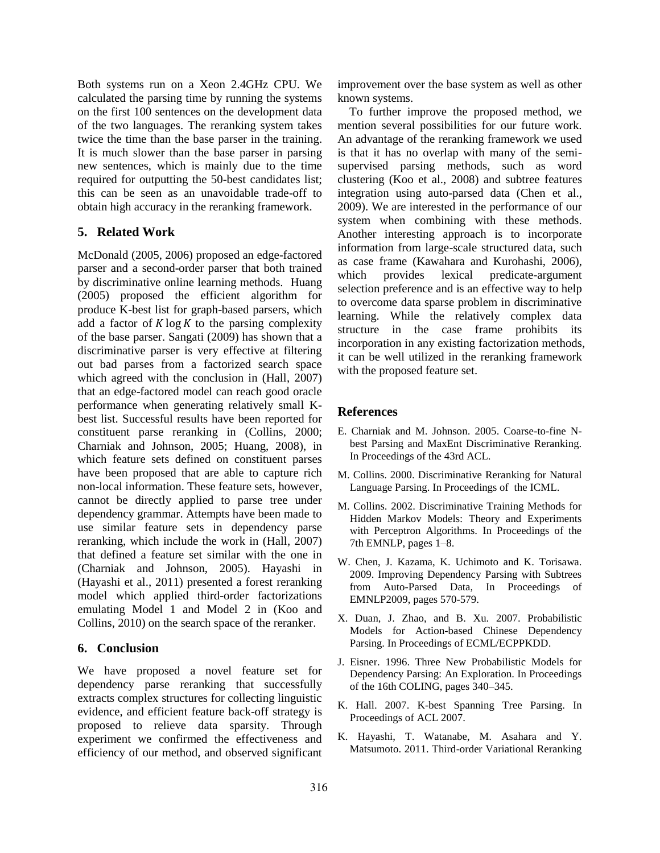Both systems run on a Xeon 2.4GHz CPU. We calculated the parsing time by running the systems on the first 100 sentences on the development data of the two languages. The reranking system takes twice the time than the base parser in the training. It is much slower than the base parser in parsing new sentences, which is mainly due to the time required for outputting the 50-best candidates list; this can be seen as an unavoidable trade-off to obtain high accuracy in the reranking framework.

# **5. Related Work**

McDonald (2005, 2006) proposed an edge-factored parser and a second-order parser that both trained by discriminative online learning methods. Huang (2005) proposed the efficient algorithm for produce K-best list for graph-based parsers, which add a factor of  $K \log K$  to the parsing complexity of the base parser. Sangati (2009) has shown that a discriminative parser is very effective at filtering out bad parses from a factorized search space which agreed with the conclusion in (Hall, 2007) that an edge-factored model can reach good oracle performance when generating relatively small Kbest list. Successful results have been reported for constituent parse reranking in (Collins, 2000; Charniak and Johnson, 2005; Huang, 2008), in which feature sets defined on constituent parses have been proposed that are able to capture rich non-local information. These feature sets, however, cannot be directly applied to parse tree under dependency grammar. Attempts have been made to use similar feature sets in dependency parse reranking, which include the work in (Hall, 2007) that defined a feature set similar with the one in (Charniak and Johnson, 2005). Hayashi in (Hayashi et al., 2011) presented a forest reranking model which applied third-order factorizations emulating Model 1 and Model 2 in (Koo and Collins, 2010) on the search space of the reranker.

# **6. Conclusion**

We have proposed a novel feature set for dependency parse reranking that successfully extracts complex structures for collecting linguistic evidence, and efficient feature back-off strategy is proposed to relieve data sparsity. Through experiment we confirmed the effectiveness and efficiency of our method, and observed significant

improvement over the base system as well as other known systems.

To further improve the proposed method, we mention several possibilities for our future work. An advantage of the reranking framework we used is that it has no overlap with many of the semisupervised parsing methods, such as word clustering (Koo et al., 2008) and subtree features integration using auto-parsed data (Chen et al., 2009). We are interested in the performance of our system when combining with these methods. Another interesting approach is to incorporate information from large-scale structured data, such as case frame (Kawahara and Kurohashi, 2006), which provides lexical predicate-argument selection preference and is an effective way to help to overcome data sparse problem in discriminative learning. While the relatively complex data structure in the case frame prohibits its incorporation in any existing factorization methods, it can be well utilized in the reranking framework with the proposed feature set.

# **References**

- E. Charniak and M. Johnson. 2005. Coarse-to-fine Nbest Parsing and MaxEnt Discriminative Reranking. In Proceedings of the 43rd ACL.
- M. Collins. 2000. Discriminative Reranking for Natural Language Parsing. In Proceedings of the ICML.
- M. Collins. 2002. Discriminative Training Methods for Hidden Markov Models: Theory and Experiments with Perceptron Algorithms. In Proceedings of the 7th EMNLP, pages 1–8.
- W. Chen, J. Kazama, K. Uchimoto and K. Torisawa. 2009. Improving Dependency Parsing with Subtrees from Auto-Parsed Data, In Proceedings of EMNLP2009, pages 570-579.
- X. Duan, J. Zhao, and B. Xu. 2007. Probabilistic Models for Action-based Chinese Dependency Parsing. In Proceedings of ECML/ECPPKDD.
- J. Eisner. 1996. Three New Probabilistic Models for Dependency Parsing: An Exploration. In Proceedings of the 16th COLING, pages 340–345.
- K. Hall. 2007. K-best Spanning Tree Parsing. In Proceedings of ACL 2007.
- K. Hayashi, T. Watanabe, M. Asahara and Y. Matsumoto. 2011. Third-order Variational Reranking